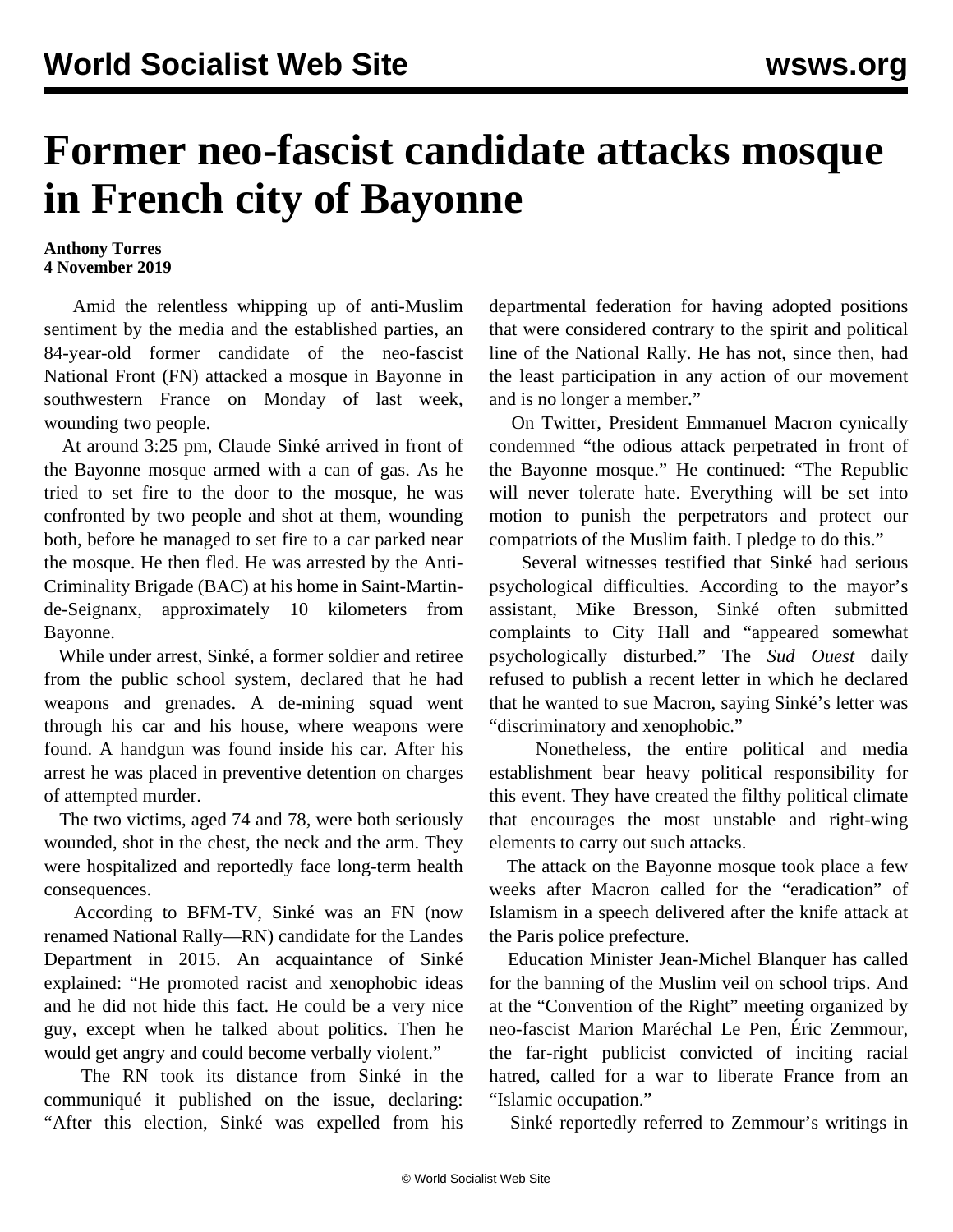## **Former neo-fascist candidate attacks mosque in French city of Bayonne**

## **Anthony Torres 4 November 2019**

 Amid the relentless whipping up of anti-Muslim sentiment by the media and the established parties, an 84-year-old former candidate of the neo-fascist National Front (FN) attacked a mosque in Bayonne in southwestern France on Monday of last week, wounding two people.

 At around 3:25 pm, Claude Sinké arrived in front of the Bayonne mosque armed with a can of gas. As he tried to set fire to the door to the mosque, he was confronted by two people and shot at them, wounding both, before he managed to set fire to a car parked near the mosque. He then fled. He was arrested by the Anti-Criminality Brigade (BAC) at his home in Saint-Martinde-Seignanx, approximately 10 kilometers from Bayonne.

 While under arrest, Sinké, a former soldier and retiree from the public school system, declared that he had weapons and grenades. A de-mining squad went through his car and his house, where weapons were found. A handgun was found inside his car. After his arrest he was placed in preventive detention on charges of attempted murder.

 The two victims, aged 74 and 78, were both seriously wounded, shot in the chest, the neck and the arm. They were hospitalized and reportedly face long-term health consequences.

 According to BFM-TV, Sinké was an FN (now renamed National Rally—RN) candidate for the Landes Department in 2015. An acquaintance of Sinké explained: "He promoted racist and xenophobic ideas and he did not hide this fact. He could be a very nice guy, except when he talked about politics. Then he would get angry and could become verbally violent."

 The RN took its distance from Sinké in the communiqué it published on the issue, declaring: "After this election, Sinké was expelled from his departmental federation for having adopted positions that were considered contrary to the spirit and political line of the National Rally. He has not, since then, had the least participation in any action of our movement and is no longer a member."

 On Twitter, President Emmanuel Macron cynically condemned "the odious attack perpetrated in front of the Bayonne mosque." He continued: "The Republic will never tolerate hate. Everything will be set into motion to punish the perpetrators and protect our compatriots of the Muslim faith. I pledge to do this."

 Several witnesses testified that Sinké had serious psychological difficulties. According to the mayor's assistant, Mike Bresson, Sinké often submitted complaints to City Hall and "appeared somewhat psychologically disturbed." The *Sud Ouest* daily refused to publish a recent letter in which he declared that he wanted to sue Macron, saying Sinké's letter was "discriminatory and xenophobic."

 Nonetheless, the entire political and media establishment bear heavy political responsibility for this event. They have created the filthy political climate that encourages the most unstable and right-wing elements to carry out such attacks.

 The attack on the Bayonne mosque took place a few weeks after Macron called for the "eradication" of Islamism in a speech delivered after the knife attack at the Paris police prefecture.

 Education Minister Jean-Michel Blanquer has called for the banning of the Muslim veil on school trips. And at the "Convention of the Right" meeting organized by neo-fascist Marion Maréchal Le Pen, Éric Zemmour, the far-right publicist convicted of inciting racial hatred, called for a war to liberate France from an "Islamic occupation."

Sinké reportedly referred to Zemmour's writings in